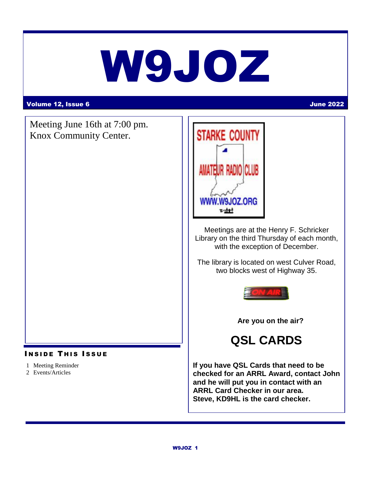# W9JOZ

#### Volume 12, Issue 6 June 2022

Meeting June 16th at 7:00 pm. Knox Community Center.

#### **INSIDE THIS ISSUE**

- 1 Meeting Reminder
- 2 Events/Articles



Meetings are at the Henry F. Schricker Library on the third Thursday of each month, with the exception of December.

The library is located on west Culver Road, two blocks west of Highway 35.



 **Are you on the air?**

# **QSL CARDS**

**If you have QSL Cards that need to be checked for an ARRL Award, contact John and he will put you in contact with an ARRL Card Checker in our area. Steve, KD9HL is the card checker.**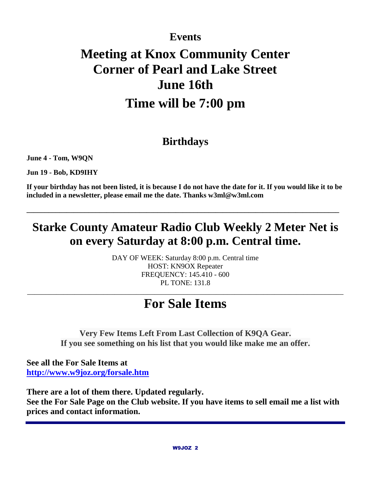# **Events**

# **Meeting at Knox Community Center Corner of Pearl and Lake Street June 16th Time will be 7:00 pm**

# **Birthdays**

**June 4 - Tom, W9QN**

**Jun 19 - Bob, KD9IHY**

**If your birthday has not been listed, it is because I do not have the date for it. If you would like it to be included in a newsletter, please email me the date. Thanks w3ml@w3ml.com**

**\_\_\_\_\_\_\_\_\_\_\_\_\_\_\_\_\_\_\_\_\_\_\_\_\_\_\_\_\_\_\_\_\_\_\_\_\_\_\_\_\_\_\_\_\_\_\_\_\_\_\_\_\_\_\_\_\_\_\_\_\_\_\_\_\_\_\_\_\_\_\_\_\_\_\_\_\_\_\_\_\_\_\_\_\_\_**

# **Starke County Amateur Radio Club Weekly 2 Meter Net is on every Saturday at 8:00 p.m. Central time.**

DAY OF WEEK: Saturday 8:00 p.m. Central time HOST: KN9OX Repeater FREQUENCY: 145.410 - 600 PL TONE: 131.8

# **For Sale Items**

\_\_\_\_\_\_\_\_\_\_\_\_\_\_\_\_\_\_\_\_\_\_\_\_\_\_\_\_\_\_\_\_\_\_\_\_\_\_\_\_\_\_\_\_\_\_\_\_\_\_\_\_\_\_\_\_\_\_\_\_\_\_\_\_\_\_\_\_\_\_\_\_\_\_\_\_\_\_\_\_\_\_\_\_\_\_\_

**Very Few Items Left From Last Collection of K9QA Gear. If you see something on his list that you would like make me an offer.**

**See all the For Sale Items at <http://www.w9joz.org/forsale.htm>**

**There are a lot of them there. Updated regularly. See the For Sale Page on the Club website. If you have items to sell email me a list with prices and contact information.**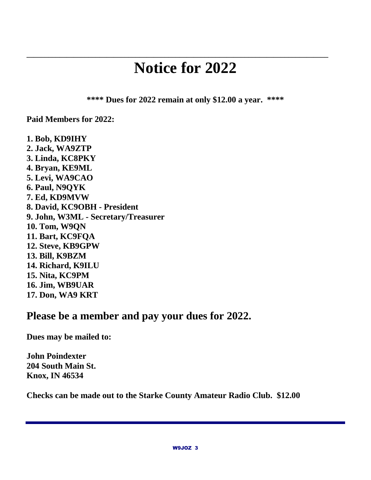# **Notice for 2022**

**\_\_\_\_\_\_\_\_\_\_\_\_\_\_\_\_\_\_\_\_\_\_\_\_\_\_\_\_\_\_\_\_\_\_\_\_\_\_\_\_\_\_\_\_\_\_\_\_\_\_\_\_\_\_\_\_\_\_\_\_\_\_\_\_\_\_\_\_\_\_\_\_\_\_\_\_\_\_\_\_\_\_\_**

**\*\*\*\* Dues for 2022 remain at only \$12.00 a year. \*\*\*\***

**Paid Members for 2022:** 

**1. Bob, KD9IHY 2. Jack, WA9ZTP 3. Linda, KC8PKY 4. Bryan, KE9ML 5. Levi, WA9CAO 6. Paul, N9QYK 7. Ed, KD9MVW 8. David, KC9OBH - President 9. John, W3ML - Secretary/Treasurer 10. Tom, W9QN 11. Bart, KC9FQA 12. Steve, KB9GPW 13. Bill, K9BZM 14. Richard, K9ILU 15. Nita, KC9PM 16. Jim, WB9UAR 17. Don, WA9 KRT**

### **Please be a member and pay your dues for 2022.**

**Dues may be mailed to:**

**John Poindexter 204 South Main St. Knox, IN 46534**

**Checks can be made out to the Starke County Amateur Radio Club. \$12.00**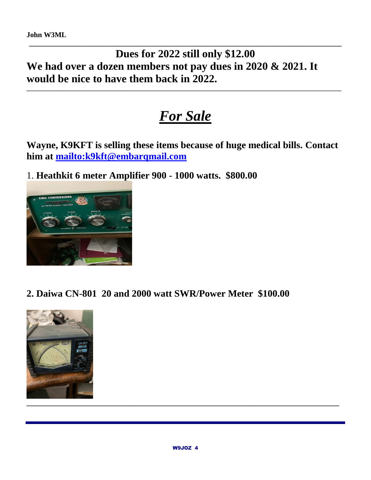**John W3ML**

### **\_\_\_\_\_\_\_\_\_\_\_\_\_\_\_\_\_\_\_\_\_\_\_\_\_\_\_\_\_\_\_\_\_\_\_\_\_\_\_\_\_\_\_\_\_\_\_\_\_\_\_\_\_\_\_\_\_\_\_\_\_\_\_\_\_\_\_\_\_\_\_\_\_\_\_\_\_\_\_\_\_\_\_\_\_\_ Dues for 2022 still only \$12.00 We had over a dozen members not pay dues in 2020 & 2021. It would be nice to have them back in 2022.**

# *For Sale*

**\_\_\_\_\_\_\_\_\_\_\_\_\_\_\_\_\_\_\_\_\_\_\_\_\_\_\_\_\_\_\_\_\_\_\_\_\_\_\_\_\_\_\_\_\_\_\_\_\_\_\_\_\_\_\_\_\_\_\_\_\_\_\_\_\_\_\_\_\_\_\_\_\_\_\_\_\_\_\_\_\_\_\_\_\_\_\_\_\_\_\_\_\_\_\_\_\_\_\_\_\_\_\_\_**

**Wayne, K9KFT is selling these items because of huge medical bills. Contact him at<mailto:k9kft@embarqmail.com>**

1. **Heathkit 6 meter Amplifier 900 - 1000 watts. \$800.00**



**2. Daiwa CN-801 20 and 2000 watt SWR/Power Meter \$100.00**

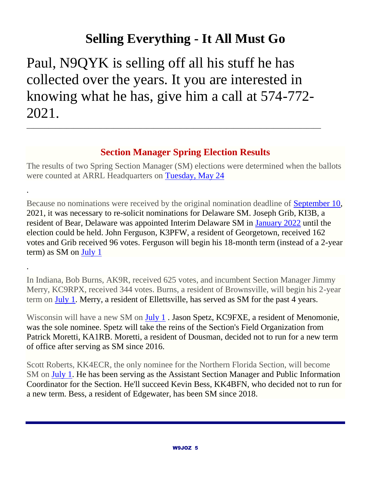# **Selling Everything - It All Must Go**

Paul, N9QYK is selling off all his stuff he has collected over the years. It you are interested in knowing what he has, give him a call at 574-772- 2021.

\_\_\_\_\_\_\_\_\_\_\_\_\_\_\_\_\_\_\_\_\_\_\_\_\_\_\_\_\_\_\_\_\_\_\_\_\_\_\_\_\_\_\_\_\_\_\_\_\_\_\_\_\_\_\_\_\_\_\_\_\_\_\_\_\_\_\_\_\_\_\_\_\_\_\_\_\_\_\_\_\_

.

.

#### **Section Manager Spring Election Results**

The results of two Spring Section Manager (SM) elections were determined when the ballots were counted at ARRL Headquarters on [Tuesday, May 24](https://webmail.centurylink.net/modern/calendar/day/1653421307056)

Because no nominations were received by the original nomination deadline of [September 10,](https://webmail.centurylink.net/modern/calendar/day/1662838907209) 2021, it was necessary to re-solicit nominations for Delaware SM. Joseph Grib, KI3B, a resident of Bear, Delaware was appointed Interim Delaware SM in [January 2022](https://webmail.centurylink.net/modern/calendar/day/1641069707450) until the election could be held. John Ferguson, K3PFW, a resident of Georgetown, received 162 votes and Grib received 96 votes. Ferguson will begin his 18-month term (instead of a 2-year term) as SM on [July 1](https://webmail.centurylink.net/modern/calendar/day/1656704507209)

In Indiana, Bob Burns, AK9R, received 625 votes, and incumbent Section Manager Jimmy Merry, KC9RPX, received 344 votes. Burns, a resident of Brownsville, will begin his 2-year term on [July 1.](https://webmail.centurylink.net/modern/calendar/day/1656704507209) Merry, a resident of Ellettsville, has served as SM for the past 4 years.

Wisconsin will have a new SM on [July 1](https://webmail.centurylink.net/modern/calendar/day/1656704507210). Jason Spetz, KC9FXE, a resident of Menomonie, was the sole nominee. Spetz will take the reins of the Section's Field Organization from Patrick Moretti, KA1RB. Moretti, a resident of Dousman, decided not to run for a new term of office after serving as SM since 2016.

Scott Roberts, KK4ECR, the only nominee for the Northern Florida Section, will become SM on [July 1.](https://webmail.centurylink.net/modern/calendar/day/1656704507210) He has been serving as the Assistant Section Manager and Public Information Coordinator for the Section. He'll succeed Kevin Bess, KK4BFN, who decided not to run for a new term. Bess, a resident of Edgewater, has been SM since 2018.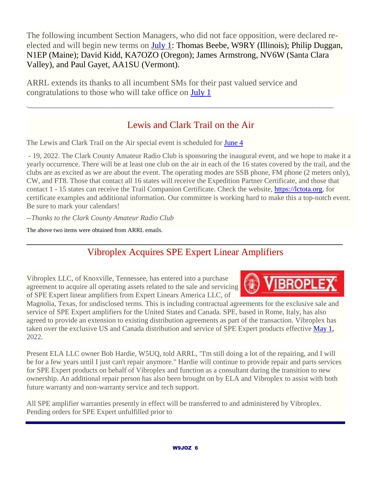The following incumbent Section Managers, who did not face opposition, were declared reelected and will begin new terms on [July 1:](https://webmail.centurylink.net/modern/calendar/day/1656704507210) Thomas Beebe, W9RY (Illinois); Philip Duggan, N1EP (Maine); David Kidd, KA7OZO (Oregon); James Armstrong, NV6W (Santa Clara Valley), and Paul Gayet, AA1SU (Vermont).

ARRL extends its thanks to all incumbent SMs for their past valued service and congratulations to those who will take office on [July 1](https://webmail.centurylink.net/modern/calendar/day/1656704507211)

### Lewis and Clark Trail on the Air

.\_\_\_\_\_\_\_\_\_\_\_\_\_\_\_\_\_\_\_\_\_\_\_\_\_\_\_\_\_\_\_\_\_\_\_\_\_\_\_\_\_\_\_\_\_\_\_\_\_\_\_\_\_\_\_\_\_\_\_\_\_\_\_\_\_\_\_\_\_\_\_\_\_\_\_\_\_\_\_\_\_\_\_\_\_\_\_\_\_\_\_\_\_\_\_\_\_\_\_\_\_

The Lewis and Clark Trail on the Air special event is scheduled for **[June 4](https://webmail.centurylink.net/modern/calendar/day/1654372058089)** 

- 19, 2022. The Clark County Amateur Radio Club is sponsoring the inaugural event, and we hope to make it a yearly occurrence. There will be at least one club on the air in each of the 16 states covered by the trail, and the clubs are as excited as we are about the event. The operating modes are SSB phone, FM phone (2 meters only), CW, and FT8. Those that contact all 16 states will receive the Expedition Partner Certificate, and those that contact 1 - 15 states can receive the Trail Companion Certificate. Check the website, [https://lctota.org,](https://lctota.org/) for certificate examples and additional information. Our committee is working hard to make this a top-notch event. Be sure to mark your calendars!

*--Thanks to the Clark County Amateur Radio Club*

The above two items were obtained from ARRL emails.

# \_\_\_\_\_\_\_\_\_\_\_\_\_\_\_\_\_\_\_\_\_\_\_\_\_\_\_\_\_\_\_\_\_\_\_\_\_\_\_\_\_\_\_\_\_\_\_\_\_\_\_\_\_\_\_\_\_\_ Vibroplex Acquires SPE Expert Linear Amplifiers

Vibroplex LLC, of Knoxville, Tennessee, has entered into a purchase agreement to acquire all operating assets related to the sale and servicing of SPE Expert linear amplifiers from Expert Linears America LLC, of

**IBROPLE** 

Magnolia, Texas, for undisclosed terms. This is including contractual agreements for the exclusive sale and service of SPE Expert amplifiers for the United States and Canada. SPE, based in Rome, Italy, has also agreed to provide an extension to existing distribution agreements as part of the transaction. Vibroplex has taken over the exclusive US and Canada distribution and service of SPE Expert products effective [May 1,](https://webmail.centurylink.net/modern/calendar/day/1651434859480) 2022.

Present ELA LLC owner Bob Hardie, W5UQ, told ARRL, "I'm still doing a lot of the repairing, and I will be for a few years until I just can't repair anymore." Hardie will continue to provide repair and parts services for SPE Expert products on behalf of Vibroplex and function as a consultant during the transition to new ownership. An additional repair person has also been brought on by ELA and Vibroplex to assist with both future warranty and non-warranty service and tech support.

All SPE amplifier warranties presently in effect will be transferred to and administered by Vibroplex. Pending orders for SPE Expert unfulfilled prior to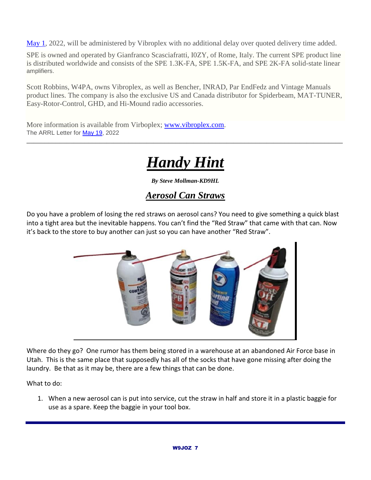[May 1,](https://webmail.centurylink.net/modern/calendar/day/1651455532519) 2022, will be administered by Vibroplex with no additional delay over quoted delivery time added.

SPE is owned and operated by Gianfranco Scasciafratti, I0ZY, of Rome, Italy. The current SPE product line is distributed worldwide and consists of the SPE 1.3K-FA, SPE 1.5K-FA, and SPE 2K-FA solid-state linear amplifiers.

Scott Robbins, W4PA, owns Vibroplex, as well as Bencher, INRAD, Par EndFedz and Vintage Manuals product lines. The company is also the exclusive US and Canada distributor for Spiderbeam, MAT-TUNER, Easy-Rotor-Control, GHD, and Hi-Mound radio accessories.

More information is available from Virboplex; [www.vibroplex.com.](http://www.vibroplex.com/) The ARRL Letter for [May 19,](https://webmail.centurylink.net/modern/calendar/day/1652990059499) 2022

# *Handy Hint*

\_\_\_\_\_\_\_\_\_\_\_\_\_\_\_\_\_\_\_\_\_\_\_\_\_\_\_\_\_\_\_\_\_\_\_\_\_\_\_\_\_\_\_\_\_\_\_\_\_\_\_\_\_\_\_\_\_\_\_\_\_\_\_\_\_\_\_\_\_\_\_\_\_\_\_\_\_\_\_\_\_\_\_\_\_\_\_

*By Steve Mollman-KD9HL*

#### *Aerosol Can Straws*

Do you have a problem of losing the red straws on aerosol cans? You need to give something a quick blast into a tight area but the inevitable happens. You can't find the "Red Straw" that came with that can. Now it's back to the store to buy another can just so you can have another "Red Straw".



Where do they go? One rumor has them being stored in a warehouse at an abandoned Air Force base in Utah. This is the same place that supposedly has all of the socks that have gone missing after doing the laundry. Be that as it may be, there are a few things that can be done.

What to do:

1. When a new aerosol can is put into service, cut the straw in half and store it in a plastic baggie for use as a spare. Keep the baggie in your tool box.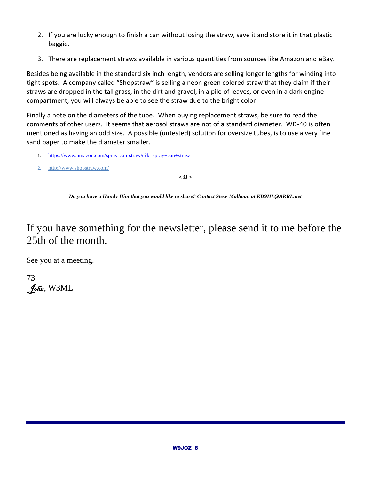- 2. If you are lucky enough to finish a can without losing the straw, save it and store it in that plastic baggie.
- 3. There are replacement straws available in various quantities from sources like Amazon and eBay.

Besides being available in the standard six inch length, vendors are selling longer lengths for winding into tight spots. A company called "Shopstraw" is selling a neon green colored straw that they claim if their straws are dropped in the tall grass, in the dirt and gravel, in a pile of leaves, or even in a dark engine compartment, you will always be able to see the straw due to the bright color.

Finally a note on the diameters of the tube. When buying replacement straws, be sure to read the comments of other users. It seems that aerosol straws are not of a standard diameter. WD-40 is often mentioned as having an odd size. A possible (untested) solution for oversize tubes, is to use a very fine sand paper to make the diameter smaller.

- 1. <https://www.amazon.com/spray-can-straw/s?k=spray+can+straw>
- 2. <http://www.shopstraw.com/>

**˂ Ω ˃**

*Do you have a Handy Hint that you would like to share? Contact Steve Mollman at KD9HL@ARRL.net*

\_\_\_\_\_\_\_\_\_\_\_\_\_\_\_\_\_\_\_\_\_\_\_\_\_\_\_\_\_\_\_\_\_\_\_\_\_\_\_\_\_\_\_\_\_\_\_\_\_\_\_\_\_\_\_\_\_\_\_\_\_\_\_\_\_\_\_\_\_\_\_\_\_\_\_\_\_\_\_\_\_\_\_\_\_\_\_

If you have something for the newsletter, please send it to me before the 25th of the month.

See you at a meeting.

73  $\int_{\text{O}}$ *fon*, W3ML